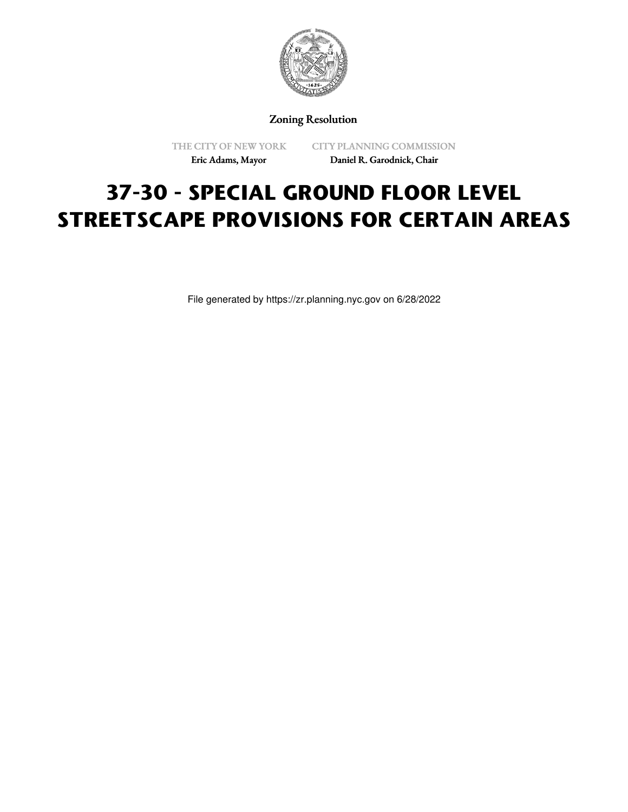

Zoning Resolution

THE CITY OF NEW YORK Eric Adams, Mayor

CITY PLANNING COMMISSION Daniel R. Garodnick, Chair

# **37-30 - SPECIAL GROUND FLOOR LEVEL STREETSCAPE PROVISIONS FOR CERTAIN AREAS**

File generated by https://zr.planning.nyc.gov on 6/28/2022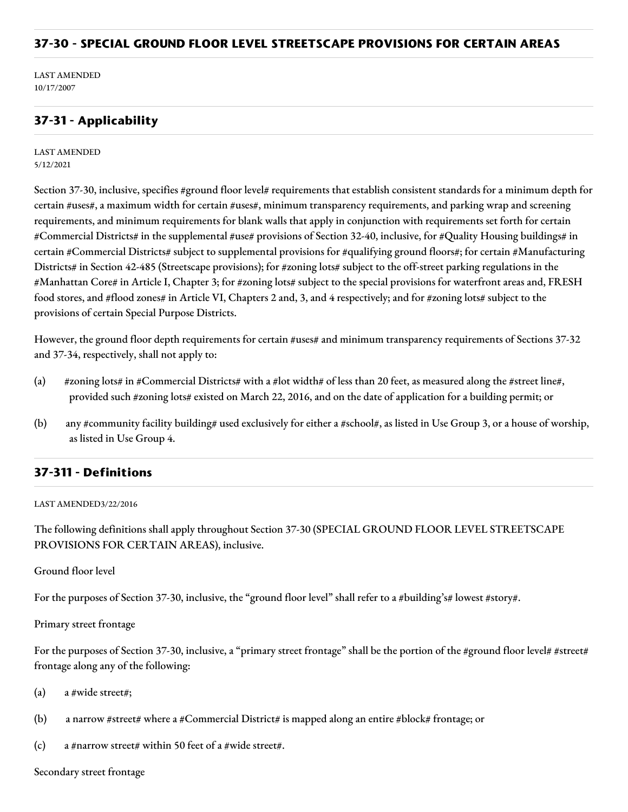## **37-30 - SPECIAL GROUND FLOOR LEVEL STREETSCAPE PROVISIONS FOR CERTAIN AREAS**

LAST AMENDED 10/17/2007

## **37-31 - Applicability**

LAST AMENDED 5/12/2021

Section 37-30, inclusive, specifies #ground floor level# requirements that establish consistent standards for a minimum depth for certain #uses#, a maximum width for certain #uses#, minimum transparency requirements, and parking wrap and screening requirements, and minimum requirements for blank walls that apply in conjunction with requirements set forth for certain #Commercial Districts# in the supplemental #use# provisions of Section 32-40, inclusive, for #Quality Housing buildings# in certain #Commercial Districts# subject to supplemental provisions for #qualifying ground floors#; for certain #Manufacturing Districts# in Section 42-485 (Streetscape provisions); for #zoning lots# subject to the off-street parking regulations in the #Manhattan Core# in Article I, Chapter 3; for #zoning lots# subject to the special provisions for waterfront areas and, FRESH food stores, and #flood zones# in Article VI, Chapters 2 and, 3, and 4 respectively; and for #zoning lots# subject to the provisions of certain Special Purpose Districts.

However, the ground floor depth requirements for certain #uses# and minimum transparency requirements of Sections 37-32 and 37-34, respectively, shall not apply to:

- (a) #zoning lots# in #Commercial Districts# with a #lot width# of less than 20 feet, as measured along the #street line#, provided such #zoning lots# existed on March 22, 2016, and on the date of application for a building permit; or
- (b) any #community facility building# used exclusively for either a #school#, as listed in Use Group 3, or a house of worship, as listed in Use Group 4.

#### **37-311 - Definitions**

#### LAST AMENDED3/22/2016

The following definitions shall apply throughout Section 37-30 (SPECIAL GROUND FLOOR LEVEL STREETSCAPE PROVISIONS FOR CERTAIN AREAS), inclusive.

#### Ground floor level

For the purposes of Section 37-30, inclusive, the "ground floor level" shall refer to a #building's# lowest #story#.

#### Primary street frontage

For the purposes of Section 37-30, inclusive, a "primary street frontage" shall be the portion of the #ground floor level# #street# frontage along any of the following:

- (a) a #wide street#;
- (b) a narrow #street# where a #Commercial District# is mapped along an entire #block# frontage; or
- (c) a #narrow street# within 50 feet of a #wide street#.

#### Secondary street frontage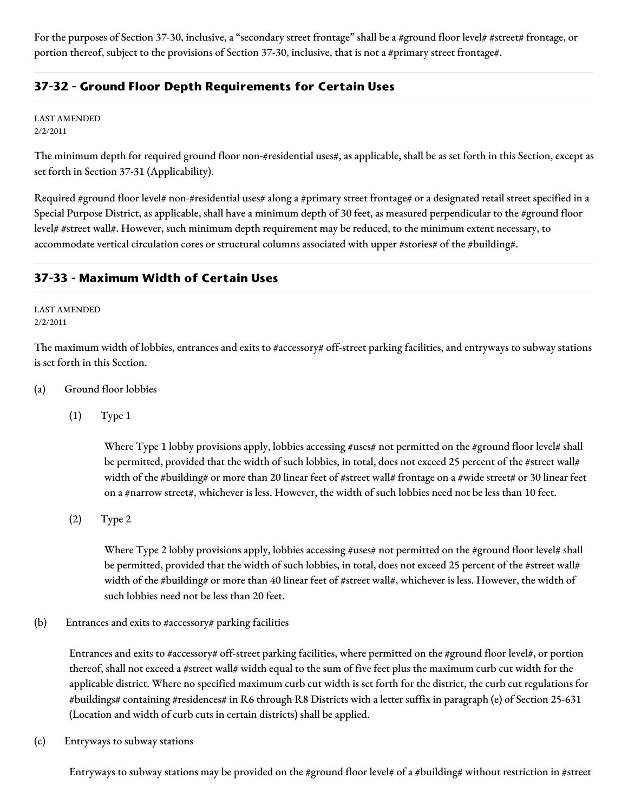For the purposes of Section 37-30, inclusive, a "secondary street frontage" shall be a #ground floor level# #street# frontage, or portion thereof, subject to the provisions of Section 37-30, inclusive, that is not a #primary street frontage#.

# **37-32 - Ground Floor Depth Requirements for Certain Uses**

LAST AMENDED 2/2/2011

The minimum depth for required ground floor non-#residential uses#, as applicable, shall be as set forth in this Section, except as set forth in Section 37-31 (Applicability).

Required #ground floor level# non-#residential uses# along a #primary street frontage# or a designated retail street specified in a Special Purpose District, as applicable, shall have a minimum depth of 30 feet, as measured perpendicular to the #ground floor level# #street wall#. However, such minimum depth requirement may be reduced, to the minimum extent necessary, to accommodate vertical circulation cores or structural columns associated with upper #stories# of the #building#.

# **37-33 - Maximum Width of Certain Uses**

LAST AMENDED 2/2/2011

The maximum width of lobbies, entrances and exits to #accessory# off-street parking facilities, and entryways to subway stations is set forth in this Section.

- (a) Ground floor lobbies
	- (1) Type 1

Where Type 1 lobby provisions apply, lobbies accessing #uses# not permitted on the #ground floor level# shall be permitted, provided that the width of such lobbies, in total, does not exceed 25 percent of the #street wall# width of the #building# or more than 20 linear feet of #street wall# frontage on a #wide street# or 30 linear feet on a #narrow street#, whichever is less. However, the width of such lobbies need not be less than 10 feet.

(2) Type 2

Where Type 2 lobby provisions apply, lobbies accessing #uses# not permitted on the #ground floor level# shall be permitted, provided that the width of such lobbies, in total, does not exceed 25 percent of the #street wall# width of the #building# or more than 40 linear feet of #street wall#, whichever is less. However, the width of such lobbies need not be less than 20 feet.

(b) Entrances and exits to #accessory# parking facilities

Entrances and exits to #accessory# off-street parking facilities, where permitted on the #ground floor level#, or portion thereof, shall not exceed a #street wall# width equal to the sum of five feet plus the maximum curb cut width for the applicable district. Where no specified maximum curb cut width is set forth for the district, the curb cut regulations for #buildings# containing #residences# in R6 through R8 Districts with a letter suffix in paragraph (e) of Section 25-631 (Location and width of curb cuts in certain districts) shall be applied.

(c) Entryways to subway stations

Entryways to subway stations may be provided on the #ground floor level# of a #building# without restriction in #street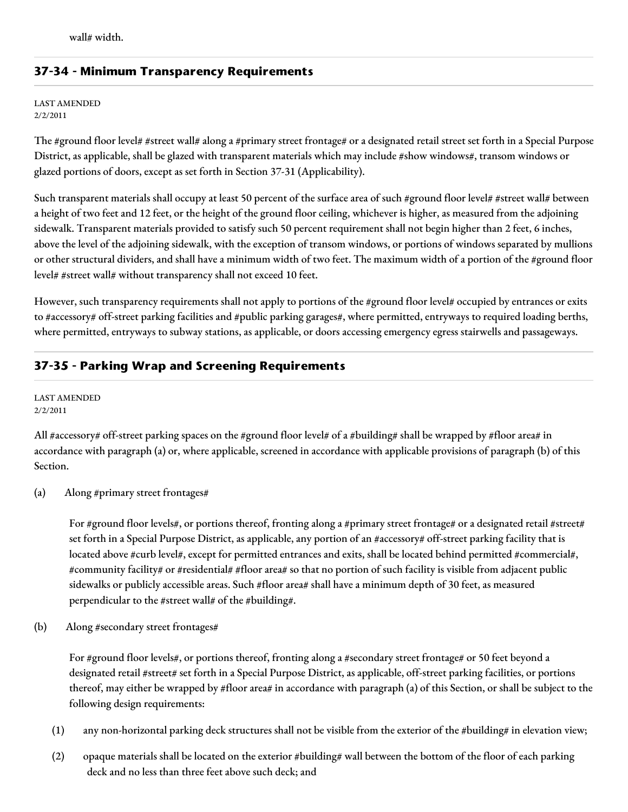# **37-34 - Minimum Transparency Requirements**

LAST AMENDED 2/2/2011

The #ground floor level# #street wall# along a #primary street frontage# or a designated retail street set forth in a Special Purpose District, as applicable, shall be glazed with transparent materials which may include #show windows#, transom windows or glazed portions of doors, except as set forth in Section 37-31 (Applicability).

Such transparent materials shall occupy at least 50 percent of the surface area of such #ground floor level# #street wall# between a height of two feet and 12 feet, or the height of the ground floor ceiling, whichever is higher, as measured from the adjoining sidewalk. Transparent materials provided to satisfy such 50 percent requirement shall not begin higher than 2 feet, 6 inches, above the level of the adjoining sidewalk, with the exception of transom windows, or portions of windows separated by mullions or other structural dividers, and shall have a minimum width of two feet. The maximum width of a portion of the #ground floor level# #street wall# without transparency shall not exceed 10 feet.

However, such transparency requirements shall not apply to portions of the #ground floor level# occupied by entrances or exits to #accessory# off-street parking facilities and #public parking garages#, where permitted, entryways to required loading berths, where permitted, entryways to subway stations, as applicable, or doors accessing emergency egress stairwells and passageways.

# **37-35 - Parking Wrap and Screening Requirements**

LAST AMENDED 2/2/2011

All #accessory# off-street parking spaces on the #ground floor level# of a #building# shall be wrapped by #floor area# in accordance with paragraph (a) or, where applicable, screened in accordance with applicable provisions of paragraph (b) of this Section.

(a) Along #primary street frontages#

For #ground floor levels#, or portions thereof, fronting along a #primary street frontage# or a designated retail #street# set forth in a Special Purpose District, as applicable, any portion of an #accessory# off-street parking facility that is located above #curb level#, except for permitted entrances and exits, shall be located behind permitted #commercial#, #community facility# or #residential# #floor area# so that no portion of such facility is visible from adjacent public sidewalks or publicly accessible areas. Such #floor area# shall have a minimum depth of 30 feet, as measured perpendicular to the #street wall# of the #building#.

(b) Along #secondary street frontages#

For #ground floor levels#, or portions thereof, fronting along a #secondary street frontage# or 50 feet beyond a designated retail #street# set forth in a Special Purpose District, as applicable, off-street parking facilities, or portions thereof, may either be wrapped by #floor area# in accordance with paragraph (a) of this Section, or shall be subject to the following design requirements:

- (1) any non-horizontal parking deck structures shall not be visible from the exterior of the #building# in elevation view;
- (2) opaque materials shall be located on the exterior  $\#$ building  $\#$  wall between the bottom of the floor of each parking deck and no less than three feet above such deck; and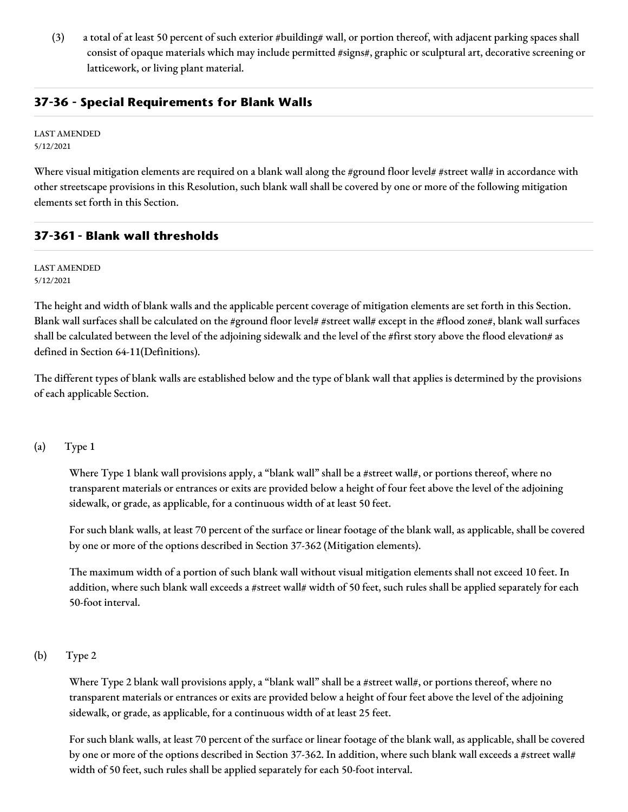(3) a total of at least 50 percent of such exterior #building# wall, or portion thereof, with adjacent parking spaces shall consist of opaque materials which may include permitted #signs#, graphic or sculptural art, decorative screening or latticework, or living plant material.

## **37-36 - Special Requirements for Blank Walls**

LAST AMENDED 5/12/2021

Where visual mitigation elements are required on a blank wall along the #ground floor level# #street wall# in accordance with other streetscape provisions in this Resolution, such blank wall shall be covered by one or more of the following mitigation elements set forth in this Section.

# **37-361 - Blank wall thresholds**

LAST AMENDED 5/12/2021

The height and width of blank walls and the applicable percent coverage of mitigation elements are set forth in this Section. Blank wall surfaces shall be calculated on the #ground floor level# #street wall# except in the #flood zone#, blank wall surfaces shall be calculated between the level of the adjoining sidewalk and the level of the #first story above the flood elevation# as defined in Section 64-11(Definitions).

The different types of blank walls are established below and the type of blank wall that applies is determined by the provisions of each applicable Section.

#### (a) Type 1

Where Type 1 blank wall provisions apply, a "blank wall" shall be a #street wall#, or portions thereof, where no transparent materials or entrances or exits are provided below a height of four feet above the level of the adjoining sidewalk, or grade, as applicable, for a continuous width of at least 50 feet.

For such blank walls, at least 70 percent of the surface or linear footage of the blank wall, as applicable, shall be covered by one or more of the options described in Section 37-362 (Mitigation elements).

The maximum width of a portion of such blank wall without visual mitigation elements shall not exceed 10 feet. In addition, where such blank wall exceeds a #street wall# width of 50 feet, such rules shall be applied separately for each 50-foot interval.

#### (b) Type 2

Where Type 2 blank wall provisions apply, a "blank wall" shall be a #street wall#, or portions thereof, where no transparent materials or entrances or exits are provided below a height of four feet above the level of the adjoining sidewalk, or grade, as applicable, for a continuous width of at least 25 feet.

For such blank walls, at least 70 percent of the surface or linear footage of the blank wall, as applicable, shall be covered by one or more of the options described in Section 37-362. In addition, where such blank wall exceeds a #street wall# width of 50 feet, such rules shall be applied separately for each 50-foot interval.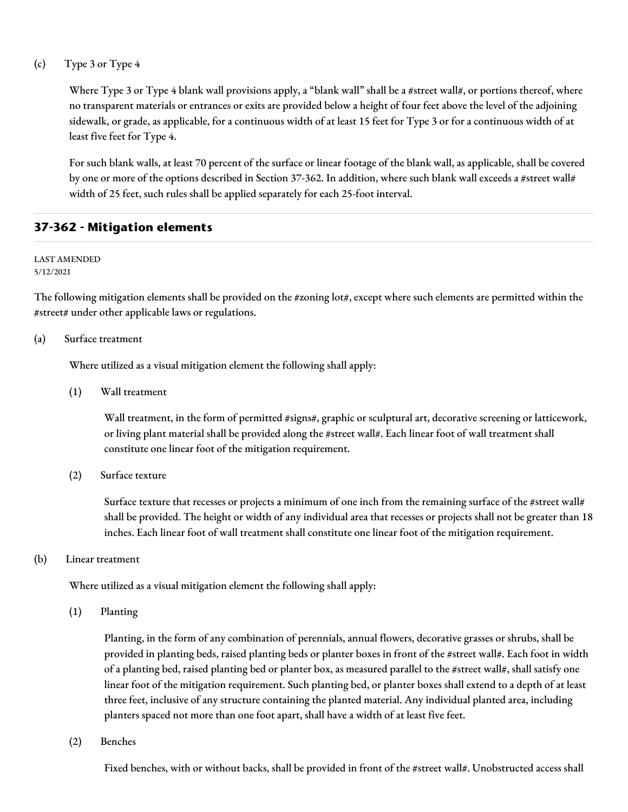(c) Type 3 or Type 4

Where Type 3 or Type 4 blank wall provisions apply, a "blank wall" shall be a #street wall#, or portions thereof, where no transparent materials or entrances or exits are provided below a height of four feet above the level of the adjoining sidewalk, or grade, as applicable, for a continuous width of at least 15 feet for Type 3 or for a continuous width of at least five feet for Type 4.

For such blank walls, at least 70 percent of the surface or linear footage of the blank wall, as applicable, shall be covered by one or more of the options described in Section 37-362. In addition, where such blank wall exceeds a #street wall# width of 25 feet, such rules shall be applied separately for each 25-foot interval.

## **37-362 - Mitigation elements**

LAST AMENDED 5/12/2021

The following mitigation elements shall be provided on the #zoning lot#, except where such elements are permitted within the #street# under other applicable laws or regulations.

#### (a) Surface treatment

Where utilized as a visual mitigation element the following shall apply:

(1) Wall treatment

Wall treatment, in the form of permitted #signs#, graphic or sculptural art, decorative screening or latticework, or living plant material shall be provided along the #street wall#. Each linear foot of wall treatment shall constitute one linear foot of the mitigation requirement.

(2) Surface texture

Surface texture that recesses or projects a minimum of one inch from the remaining surface of the #street wall# shall be provided. The height or width of any individual area that recesses or projects shall not be greater than 18 inches. Each linear foot of wall treatment shall constitute one linear foot of the mitigation requirement.

(b) Linear treatment

Where utilized as a visual mitigation element the following shall apply:

(1) Planting

Planting, in the form of any combination of perennials, annual flowers, decorative grasses or shrubs, shall be provided in planting beds, raised planting beds or planter boxes in front of the #street wall#. Each foot in width of a planting bed, raised planting bed or planter box, as measured parallel to the #street wall#, shall satisfy one linear foot of the mitigation requirement. Such planting bed, or planter boxes shall extend to a depth of at least three feet, inclusive of any structure containing the planted material. Any individual planted area, including planters spaced not more than one foot apart, shall have a width of at least five feet.

(2) Benches

Fixed benches, with or without backs, shall be provided in front of the #street wall#. Unobstructed access shall